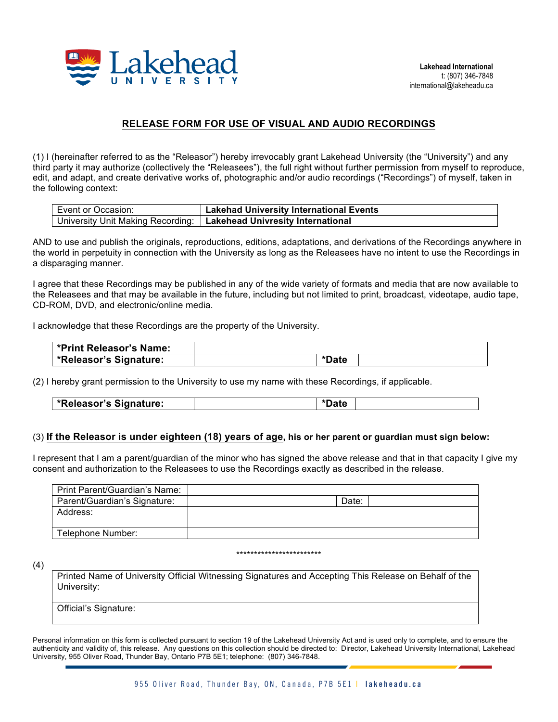

## **RELEASE FORM FOR USE OF VISUAL AND AUDIO RECORDINGS**

(1) I (hereinafter referred to as the "Releasor") hereby irrevocably grant Lakehead University (the "University") and any third party it may authorize (collectively the "Releasees"), the full right without further permission from myself to reproduce, edit, and adapt, and create derivative works of, photographic and/or audio recordings ("Recordings") of myself, taken in the following context:

| Event or Occasion: | <b>Lakehad University International Events</b>                        |
|--------------------|-----------------------------------------------------------------------|
|                    | University Unit Making Recording:   Lakehead Univresity International |

AND to use and publish the originals, reproductions, editions, adaptations, and derivations of the Recordings anywhere in the world in perpetuity in connection with the University as long as the Releasees have no intent to use the Recordings in a disparaging manner.

I agree that these Recordings may be published in any of the wide variety of formats and media that are now available to the Releasees and that may be available in the future, including but not limited to print, broadcast, videotape, audio tape, CD-ROM, DVD, and electronic/online media.

I acknowledge that these Recordings are the property of the University.

| <b>*Print Releasor's Name:</b>      |       |  |
|-------------------------------------|-------|--|
| <sup>l</sup> *Releasor's Signature: | *Date |  |

(2) I hereby grant permission to the University to use my name with these Recordings, if applicable.

|  | *Releasor's Signature: |  |  |
|--|------------------------|--|--|
|--|------------------------|--|--|

## (3) **If the Releasor is under eighteen (18) years of age, his or her parent or guardian must sign below:**

I represent that I am a parent/guardian of the minor who has signed the above release and that in that capacity I give my consent and authorization to the Releasees to use the Recordings exactly as described in the release.

| Print Parent/Guardian's Name: |       |  |
|-------------------------------|-------|--|
| Parent/Guardian's Signature:  | Date: |  |
| Address:                      |       |  |
|                               |       |  |
| Telephone Number:             |       |  |
|                               |       |  |

## \*\*\*\*\*\*\*\*\*\*\*\*\*\*\*\*\*\*\*\*\*\*\*\*

(4)

Printed Name of University Official Witnessing Signatures and Accepting This Release on Behalf of the University:

Official's Signature:

Personal information on this form is collected pursuant to section 19 of the Lakehead University Act and is used only to complete, and to ensure the authenticity and validity of, this release. Any questions on this collection should be directed to: Director, Lakehead University International, Lakehead University, 955 Oliver Road, Thunder Bay, Ontario P7B 5E1; telephone: (807) 346-7848.